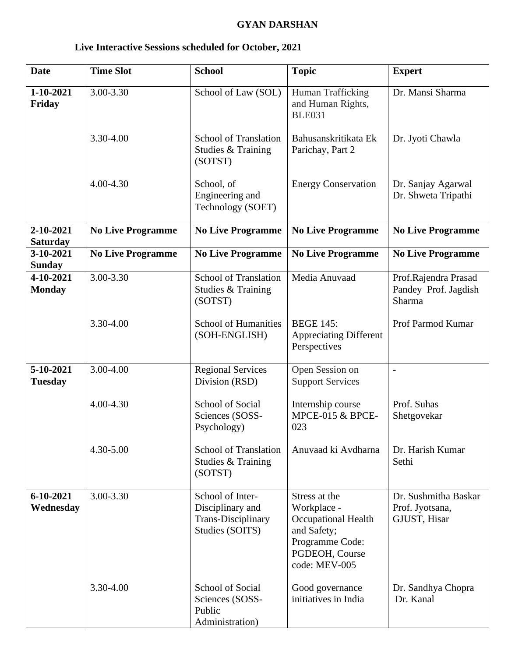## **GYAN DARSHAN**

| <b>Date</b>                  | <b>Time Slot</b>         | <b>School</b>                                                                        | <b>Topic</b>                                                                                                                    | <b>Expert</b>                                           |
|------------------------------|--------------------------|--------------------------------------------------------------------------------------|---------------------------------------------------------------------------------------------------------------------------------|---------------------------------------------------------|
| 1-10-2021<br>Friday          | 3.00-3.30                | School of Law (SOL)                                                                  | Human Trafficking<br>and Human Rights,<br><b>BLE031</b>                                                                         | Dr. Mansi Sharma                                        |
|                              | 3.30-4.00                | <b>School of Translation</b><br>Studies & Training<br>(SOTST)                        | Bahusanskritikata Ek<br>Parichay, Part 2                                                                                        | Dr. Jyoti Chawla                                        |
|                              | $4.00 - 4.30$            | School, of<br>Engineering and<br>Technology (SOET)                                   | <b>Energy Conservation</b>                                                                                                      | Dr. Sanjay Agarwal<br>Dr. Shweta Tripathi               |
| 2-10-2021<br><b>Saturday</b> | <b>No Live Programme</b> | <b>No Live Programme</b>                                                             | <b>No Live Programme</b>                                                                                                        | <b>No Live Programme</b>                                |
| 3-10-2021<br><b>Sunday</b>   | <b>No Live Programme</b> | <b>No Live Programme</b>                                                             | <b>No Live Programme</b>                                                                                                        | <b>No Live Programme</b>                                |
| 4-10-2021<br><b>Monday</b>   | 3.00-3.30                | <b>School of Translation</b><br>Studies & Training<br>(SOTST)                        | Media Anuvaad                                                                                                                   | Prof.Rajendra Prasad<br>Pandey Prof. Jagdish<br>Sharma  |
|                              | 3.30-4.00                | <b>School of Humanities</b><br>(SOH-ENGLISH)                                         | <b>BEGE 145:</b><br><b>Appreciating Different</b><br>Perspectives                                                               | Prof Parmod Kumar                                       |
| 5-10-2021<br><b>Tuesday</b>  | 3.00-4.00                | <b>Regional Services</b><br>Division (RSD)                                           | Open Session on<br><b>Support Services</b>                                                                                      | $\blacksquare$                                          |
|                              | $4.00 - 4.30$            | School of Social<br>Sciences (SOSS-<br>Psychology)                                   | Internship course<br>MPCE-015 & BPCE-<br>023                                                                                    | Prof. Suhas<br>Shetgovekar                              |
|                              | 4.30-5.00                | <b>School of Translation</b><br>Studies & Training<br>(SOTST)                        | Anuvaad ki Avdharna                                                                                                             | Dr. Harish Kumar<br>Sethi                               |
| $6 - 10 - 2021$<br>Wednesday | 3.00-3.30                | School of Inter-<br>Disciplinary and<br><b>Trans-Disciplinary</b><br>Studies (SOITS) | Stress at the<br>Workplace -<br><b>Occupational Health</b><br>and Safety;<br>Programme Code:<br>PGDEOH, Course<br>code: MEV-005 | Dr. Sushmitha Baskar<br>Prof. Jyotsana,<br>GJUST, Hisar |
|                              | 3.30-4.00                | <b>School of Social</b><br>Sciences (SOSS-<br>Public<br>Administration)              | Good governance<br>initiatives in India                                                                                         | Dr. Sandhya Chopra<br>Dr. Kanal                         |

## **Live Interactive Sessions scheduled for October, 2021**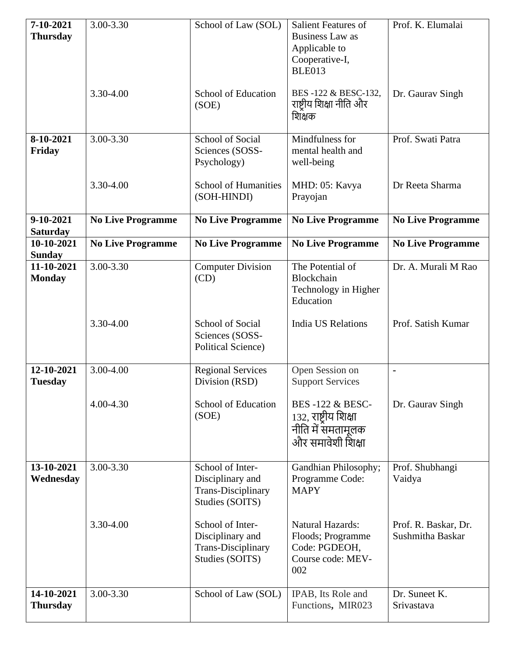| 7-10-2021<br><b>Thursday</b>  | 3.00-3.30                | School of Law (SOL)                                                                  | <b>Salient Features of</b><br><b>Business Law as</b><br>Applicable to<br>Cooperative-I,<br><b>BLE013</b> | Prof. K. Elumalai                        |
|-------------------------------|--------------------------|--------------------------------------------------------------------------------------|----------------------------------------------------------------------------------------------------------|------------------------------------------|
|                               | 3.30-4.00                | <b>School of Education</b><br>(SOE)                                                  | BES-122 & BESC-132,<br>राष्ट्रीय शिक्षा नीति और<br>शिक्षक                                                | Dr. Gaurav Singh                         |
| 8-10-2021<br>Friday           | 3.00-3.30                | School of Social<br>Sciences (SOSS-<br>Psychology)                                   | Mindfulness for<br>mental health and<br>well-being                                                       | Prof. Swati Patra                        |
|                               | 3.30-4.00                | <b>School of Humanities</b><br>(SOH-HINDI)                                           | MHD: 05: Kavya<br>Prayojan                                                                               | Dr Reeta Sharma                          |
| 9-10-2021<br><b>Saturday</b>  | <b>No Live Programme</b> | <b>No Live Programme</b>                                                             | <b>No Live Programme</b>                                                                                 | <b>No Live Programme</b>                 |
| 10-10-2021<br><b>Sunday</b>   | <b>No Live Programme</b> | <b>No Live Programme</b>                                                             | <b>No Live Programme</b>                                                                                 | <b>No Live Programme</b>                 |
| 11-10-2021<br><b>Monday</b>   | 3.00-3.30                | <b>Computer Division</b><br>(CD)                                                     | The Potential of<br>Blockchain<br>Technology in Higher<br>Education                                      | Dr. A. Murali M Rao                      |
|                               | 3.30-4.00                | School of Social<br>Sciences (SOSS-<br><b>Political Science)</b>                     | <b>India US Relations</b>                                                                                | Prof. Satish Kumar                       |
| 12-10-2021<br><b>Tuesday</b>  | 3.00-4.00                | <b>Regional Services</b><br>Division (RSD)                                           | Open Session on<br><b>Support Services</b>                                                               | $\blacksquare$                           |
|                               | $4.00 - 4.30$            | School of Education<br>(SOE)                                                         | <b>BES-122 &amp; BESC-</b><br>132, राष्ट्रीय शिक्षा<br>नीति में समतामूलक<br>और समावेशी शिक्षा            | Dr. Gaurav Singh                         |
| 13-10-2021<br>Wednesday       | 3.00-3.30                | School of Inter-<br>Disciplinary and<br><b>Trans-Disciplinary</b><br>Studies (SOITS) | Gandhian Philosophy;<br>Programme Code:<br><b>MAPY</b>                                                   | Prof. Shubhangi<br>Vaidya                |
|                               | 3.30-4.00                | School of Inter-<br>Disciplinary and<br><b>Trans-Disciplinary</b><br>Studies (SOITS) | <b>Natural Hazards:</b><br>Floods; Programme<br>Code: PGDEOH,<br>Course code: MEV-<br>002                | Prof. R. Baskar, Dr.<br>Sushmitha Baskar |
| 14-10-2021<br><b>Thursday</b> | 3.00-3.30                | School of Law (SOL)                                                                  | IPAB, Its Role and<br>Functions, MIR023                                                                  | Dr. Suneet K.<br>Srivastava              |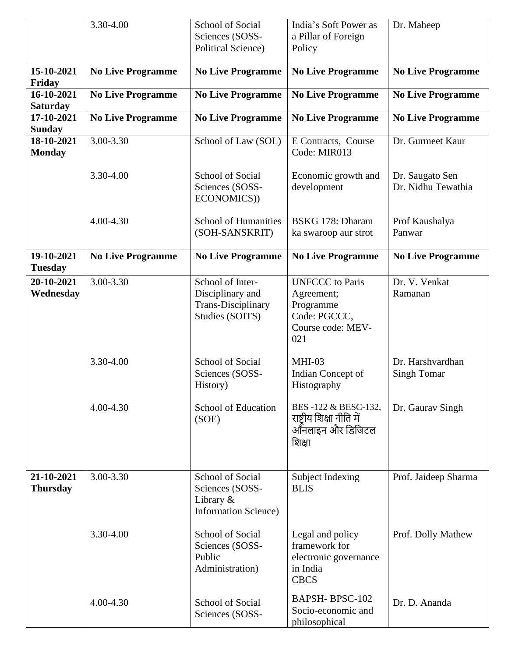|                               | 3.30-4.00                | <b>School of Social</b><br>Sciences (SOSS-<br><b>Political Science)</b>              | India's Soft Power as<br>a Pillar of Foreign<br>Policy                                        | Dr. Maheep                             |
|-------------------------------|--------------------------|--------------------------------------------------------------------------------------|-----------------------------------------------------------------------------------------------|----------------------------------------|
| 15-10-2021<br>Friday          | <b>No Live Programme</b> | <b>No Live Programme</b>                                                             | <b>No Live Programme</b>                                                                      | <b>No Live Programme</b>               |
| 16-10-2021<br><b>Saturday</b> | <b>No Live Programme</b> | <b>No Live Programme</b>                                                             | <b>No Live Programme</b>                                                                      | <b>No Live Programme</b>               |
| 17-10-2021<br><b>Sunday</b>   | <b>No Live Programme</b> | <b>No Live Programme</b>                                                             | <b>No Live Programme</b>                                                                      | <b>No Live Programme</b>               |
| 18-10-2021<br><b>Monday</b>   | 3.00-3.30                | School of Law (SOL)                                                                  | E Contracts, Course<br>Code: MIR013                                                           | Dr. Gurmeet Kaur                       |
|                               | 3.30-4.00                | School of Social<br>Sciences (SOSS-<br>ECONOMICS))                                   | Economic growth and<br>development                                                            | Dr. Saugato Sen<br>Dr. Nidhu Tewathia  |
|                               | 4.00-4.30                | <b>School of Humanities</b><br>(SOH-SANSKRIT)                                        | BSKG 178: Dharam<br>ka swaroop aur strot                                                      | Prof Kaushalya<br>Panwar               |
| 19-10-2021<br><b>Tuesday</b>  | <b>No Live Programme</b> | <b>No Live Programme</b>                                                             | <b>No Live Programme</b>                                                                      | <b>No Live Programme</b>               |
| 20-10-2021<br>Wednesday       | 3.00-3.30                | School of Inter-<br>Disciplinary and<br><b>Trans-Disciplinary</b><br>Studies (SOITS) | <b>UNFCCC</b> to Paris<br>Agreement;<br>Programme<br>Code: PGCCC,<br>Course code: MEV-<br>021 | Dr. V. Venkat<br>Ramanan               |
|                               | 3.30-4.00                | School of Social<br>Sciences (SOSS-<br>History)                                      | $MHI-03$<br>Indian Concept of<br>Histography                                                  | Dr. Harshvardhan<br><b>Singh Tomar</b> |
|                               | 4.00-4.30                | School of Education<br>(SOE)                                                         | BES-122 & BESC-132,<br>राष्ट्रीय शिक्षा नीति में<br>ऑनलाइन और डिजिटल<br>शिक्षा                | Dr. Gaurav Singh                       |
| 21-10-2021<br><b>Thursday</b> | 3.00-3.30                | School of Social<br>Sciences (SOSS-<br>Library &<br><b>Information Science</b> )     | <b>Subject Indexing</b><br><b>BLIS</b>                                                        | Prof. Jaideep Sharma                   |
|                               | 3.30-4.00                | School of Social<br>Sciences (SOSS-<br>Public<br>Administration)                     | Legal and policy<br>framework for<br>electronic governance<br>in India<br><b>CBCS</b>         | Prof. Dolly Mathew                     |
|                               | 4.00-4.30                | School of Social<br>Sciences (SOSS-                                                  | <b>BAPSH-BPSC-102</b><br>Socio-economic and<br>philosophical                                  | Dr. D. Ananda                          |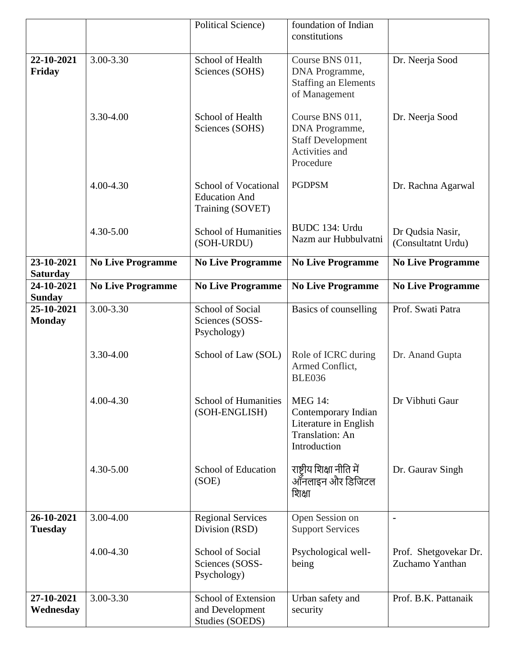|                               |                          | <b>Political Science)</b>                                               | foundation of Indian<br>constitutions                                                             |                                          |
|-------------------------------|--------------------------|-------------------------------------------------------------------------|---------------------------------------------------------------------------------------------------|------------------------------------------|
| 22-10-2021<br>Friday          | 3.00-3.30                | School of Health<br>Sciences (SOHS)                                     | Course BNS 011,<br>DNA Programme,<br><b>Staffing an Elements</b><br>of Management                 | Dr. Neerja Sood                          |
|                               | 3.30-4.00                | School of Health<br>Sciences (SOHS)                                     | Course BNS 011,<br>DNA Programme,<br><b>Staff Development</b><br>Activities and<br>Procedure      | Dr. Neerja Sood                          |
|                               | 4.00-4.30                | <b>School of Vocational</b><br><b>Education And</b><br>Training (SOVET) | <b>PGDPSM</b>                                                                                     | Dr. Rachna Agarwal                       |
|                               | 4.30-5.00                | <b>School of Humanities</b><br>(SOH-URDU)                               | BUDC 134: Urdu<br>Nazm aur Hubbulvatni                                                            | Dr Qudsia Nasir,<br>(Consultatnt Urdu)   |
| 23-10-2021<br><b>Saturday</b> | <b>No Live Programme</b> | <b>No Live Programme</b>                                                | <b>No Live Programme</b>                                                                          | <b>No Live Programme</b>                 |
| 24-10-2021<br><b>Sunday</b>   | <b>No Live Programme</b> | <b>No Live Programme</b>                                                | <b>No Live Programme</b>                                                                          | <b>No Live Programme</b>                 |
| 25-10-2021<br><b>Monday</b>   | 3.00-3.30                | School of Social<br>Sciences (SOSS-<br>Psychology)                      | Basics of counselling                                                                             | Prof. Swati Patra                        |
|                               | 3.30-4.00                | School of Law (SOL)                                                     | Role of ICRC during<br>Armed Conflict,<br><b>BLE036</b>                                           | Dr. Anand Gupta                          |
|                               | 4.00-4.30                | <b>School of Humanities</b><br>(SOH-ENGLISH)                            | <b>MEG 14:</b><br>Contemporary Indian<br>Literature in English<br>Translation: An<br>Introduction | Dr Vibhuti Gaur                          |
|                               | 4.30-5.00                | School of Education<br>(SOE)                                            | राष्ट्रीय शिक्षा नीति में<br>ऑनलाइन और डिजिटल<br>शिक्षा                                           | Dr. Gaurav Singh                         |
| 26-10-2021<br><b>Tuesday</b>  | 3.00-4.00                | <b>Regional Services</b><br>Division (RSD)                              | Open Session on<br><b>Support Services</b>                                                        | $\blacksquare$                           |
|                               | 4.00-4.30                | School of Social<br>Sciences (SOSS-<br>Psychology)                      | Psychological well-<br>being                                                                      | Prof. Shetgovekar Dr.<br>Zuchamo Yanthan |
| 27-10-2021<br>Wednesday       | 3.00-3.30                | School of Extension<br>and Development<br>Studies (SOEDS)               | Urban safety and<br>security                                                                      | Prof. B.K. Pattanaik                     |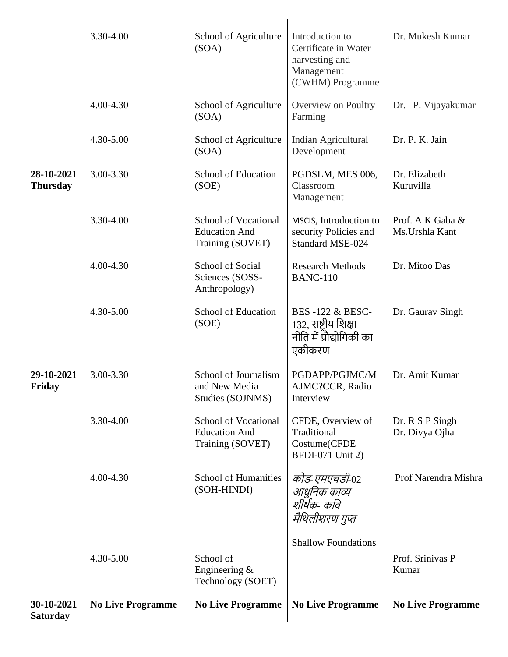|                               | 3.30-4.00                | School of Agriculture<br>(SOA)                                          | Introduction to<br>Certificate in Water<br>harvesting and<br>Management<br>(CWHM) Programme | Dr. Mukesh Kumar                    |
|-------------------------------|--------------------------|-------------------------------------------------------------------------|---------------------------------------------------------------------------------------------|-------------------------------------|
|                               | 4.00-4.30                | School of Agriculture<br>(SOA)                                          | Overview on Poultry<br>Farming                                                              | Dr. P. Vijayakumar                  |
|                               | 4.30-5.00                | School of Agriculture<br>(SOA)                                          | Indian Agricultural<br>Development                                                          | Dr. P. K. Jain                      |
| 28-10-2021<br><b>Thursday</b> | 3.00-3.30                | School of Education<br>(SOE)                                            | PGDSLM, MES 006,<br>Classroom<br>Management                                                 | Dr. Elizabeth<br>Kuruvilla          |
|                               | 3.30-4.00                | <b>School of Vocational</b><br><b>Education And</b><br>Training (SOVET) | MSCIS, Introduction to<br>security Policies and<br><b>Standard MSE-024</b>                  | Prof. A K Gaba &<br>Ms. Urshla Kant |
|                               | 4.00-4.30                | <b>School of Social</b><br>Sciences (SOSS-<br>Anthropology)             | <b>Research Methods</b><br><b>BANC-110</b>                                                  | Dr. Mitoo Das                       |
|                               | 4.30-5.00                | School of Education<br>(SOE)                                            | <b>BES-122 &amp; BESC-</b><br>132, राष्टीय शिक्षा<br>नीति में प्रौद्योगिकी का<br>एकीकरण     | Dr. Gaurav Singh                    |
| 29-10-2021<br>Friday          | 3.00-3.30                | School of Journalism<br>and New Media<br>Studies (SOJNMS)               | PGDAPP/PGJMC/M<br>AJMC?CCR, Radio<br>Interview                                              | Dr. Amit Kumar                      |
|                               | 3.30-4.00                | <b>School of Vocational</b><br><b>Education And</b><br>Training (SOVET) | CFDE, Overview of<br>Traditional<br>Costume(CFDE<br><b>BFDI-071 Unit 2)</b>                 | Dr. R S P Singh<br>Dr. Divya Ojha   |
|                               | 4.00-4.30                | <b>School of Humanities</b><br>(SOH-HINDI)                              | कोड-एमएचडी-02<br>आधुनिक काव्य<br>शीर्षक- कवि<br>मैथिलीशरण गुप्त                             | Prof Narendra Mishra                |
|                               | 4.30-5.00                | School of<br>Engineering &<br>Technology (SOET)                         | <b>Shallow Foundations</b>                                                                  | Prof. Srinivas P<br>Kumar           |
| 30-10-2021<br><b>Saturday</b> | <b>No Live Programme</b> | <b>No Live Programme</b>                                                | <b>No Live Programme</b>                                                                    | <b>No Live Programme</b>            |